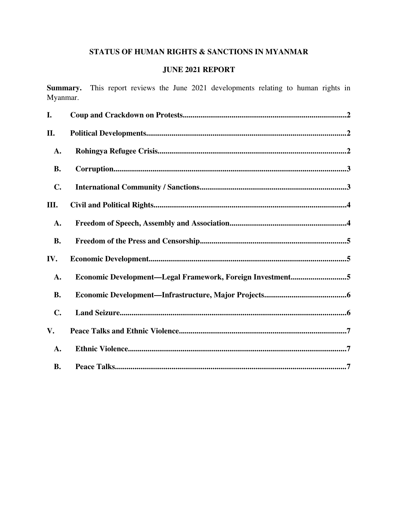# STATUS OF HUMAN RIGHTS & SANCTIONS IN MYANMAR

# **JUNE 2021 REPORT**

Summary. This report reviews the June 2021 developments relating to human rights in Myanmar.

| I.             |                                                           |
|----------------|-----------------------------------------------------------|
| II.            |                                                           |
| A.             |                                                           |
| <b>B.</b>      |                                                           |
| $\mathbf{C}$ . |                                                           |
| Ш.             |                                                           |
| A.             |                                                           |
| <b>B.</b>      |                                                           |
| IV.            |                                                           |
| A.             | Economic Development-Legal Framework, Foreign Investment5 |
| <b>B.</b>      |                                                           |
| C.             |                                                           |
| V.             |                                                           |
| A.             |                                                           |
| <b>B.</b>      |                                                           |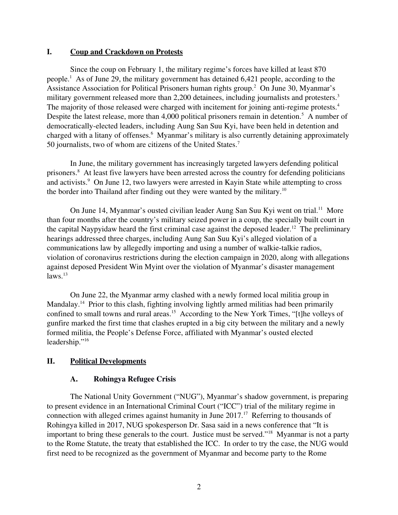# <span id="page-1-0"></span>I. Coup and Crackdown on Protests

Since the coup on February 1, the military regime's forces have killed at least 870 people.<sup>1</sup> As of June 29, the military government has detained 6,421 people, according to the Assistance Association for Political Prisoners human rights group.<sup>2</sup> On June 30, Myanmar's military government released more than 2,200 detainees, including journalists and protesters.<sup>3</sup> The majority of those released were charged with incitement for joining anti-regime protests. $4$ Despite the latest release, more than 4,000 political prisoners remain in detention.<sup>5</sup> A number of democratically-elected leaders, including Aung San Suu Kyi, have been held in detention and charged with a litany of offenses.<sup>6</sup> Myanmar's military is also currently detaining approximately 50 journalists, two of whom are citizens of the United States.<sup>7</sup>

In June, the military government has increasingly targeted lawyers defending political prisoners.<sup>8</sup> At least five lawyers have been arrested across the country for defending politicians and activists.<sup>9</sup> On June 12, two lawyers were arrested in Kayin State while attempting to cross the border into Thailand after finding out they were wanted by the military.<sup>10</sup>

On June 14, Myanmar's ousted civilian leader Aung San Suu Kyi went on trial.<sup>11</sup> More than four months after the country's military seized power in a coup, the specially built court in the capital Naypyidaw heard the first criminal case against the deposed leader.<sup>12</sup> The preliminary hearings addressed three charges, including Aung San Suu Kyi's alleged violation of a communications law by allegedly importing and using a number of walkie-talkie radios, violation of coronavirus restrictions during the election campaign in 2020, along with allegations against deposed President Win Myint over the violation of Myanmar's disaster management  $laws.<sup>13</sup>$ 

On June 22, the Myanmar army clashed with a newly formed local militia group in Mandalay.<sup>14</sup> Prior to this clash, fighting involving lightly armed militias had been primarily confined to small towns and rural areas.<sup>15</sup> According to the New York Times, "[t]he volleys of gunfire marked the first time that clashes erupted in a big city between the military and a newly formed militia, the People's Defense Force, affiliated with Myanmar's ousted elected leadership."<sup>16</sup>

# II. Political Developments

# <span id="page-1-2"></span><span id="page-1-1"></span>A. Rohingya Refugee Crisis

The National Unity Government ("NUG"), Myanmar's shadow government, is preparing to present evidence in an International Criminal Court ("ICC") trial of the military regime in connection with alleged crimes against humanity in June 2017.<sup>17</sup> Referring to thousands of Rohingya killed in 2017, NUG spokesperson Dr. Sasa said in a news conference that "It is important to bring these generals to the court. Justice must be served."<sup>18</sup> Myanmar is not a party to the Rome Statute, the treaty that established the ICC. In order to try the case, the NUG would first need to be recognized as the government of Myanmar and become party to the Rome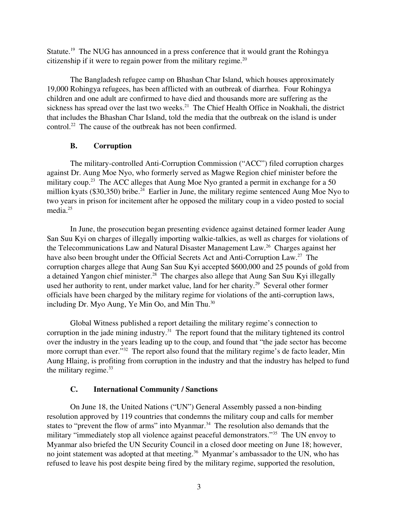Statute.<sup>19</sup> The NUG has announced in a press conference that it would grant the Rohingya citizenship if it were to regain power from the military regime. $20$ 

The Bangladesh refugee camp on Bhashan Char Island, which houses approximately 19,000 Rohingya refugees, has been afflicted with an outbreak of diarrhea. Four Rohingya children and one adult are confirmed to have died and thousands more are suffering as the sickness has spread over the last two weeks.<sup>21</sup> The Chief Health Office in Noakhali, the district that includes the Bhashan Char Island, told the media that the outbreak on the island is under control.<sup>22</sup> The cause of the outbreak has not been confirmed.

# <span id="page-2-1"></span>B. Corruption

The military-controlled Anti-Corruption Commission ("ACC") filed corruption charges against Dr. Aung Moe Nyo, who formerly served as Magwe Region chief minister before the military coup.<sup>23</sup> The ACC alleges that Aung Moe Nyo granted a permit in exchange for a 50 million kyats (\$30,350) bribe.<sup>24</sup> Earlier in June, the military regime sentenced Aung Moe Nyo to two years in prison for incitement after he opposed the military coup in a video posted to social media.<sup>25</sup>

In June, the prosecution began presenting evidence against detained former leader Aung San Suu Kyi on charges of illegally importing walkie-talkies, as well as charges for violations of the Telecommunications Law and Natural Disaster Management Law.<sup>26</sup> Charges against her have also been brought under the Official Secrets Act and Anti-Corruption Law.<sup>27</sup> The corruption charges allege that Aung San Suu Kyi accepted \$600,000 and 25 pounds of gold from a detained Yangon chief minister.<sup>28</sup> The charges also allege that Aung San Suu Kyi illegally used her authority to rent, under market value, land for her charity.<sup>29</sup> Several other former officials have been charged by the military regime for violations of the anti-corruption laws, including Dr. Myo Aung, Ye Min Oo, and Min Thu.<sup>30</sup>

Global Witness published a report detailing the military regime's connection to corruption in the jade mining industry.<sup>31</sup> The report found that the military tightened its control over the industry in the years leading up to the coup, and found that "the jade sector has become more corrupt than ever."<sup>32</sup> The report also found that the military regime's de facto leader, Min Aung Hlaing, is profiting from corruption in the industry and that the industry has helped to fund the military regime. $33$ 

# <span id="page-2-0"></span>C. International Community / Sanctions

On June 18, the United Nations ("UN") General Assembly passed a non-binding resolution approved by 119 countries that condemns the military coup and calls for member states to "prevent the flow of arms" into Myanmar.<sup>34</sup> The resolution also demands that the military "immediately stop all violence against peaceful demonstrators."<sup>35</sup> The UN envoy to Myanmar also briefed the UN Security Council in a closed door meeting on June 18; however, no joint statement was adopted at that meeting.<sup>36</sup> Myanmar's ambassador to the UN, who has refused to leave his post despite being fired by the military regime, supported the resolution,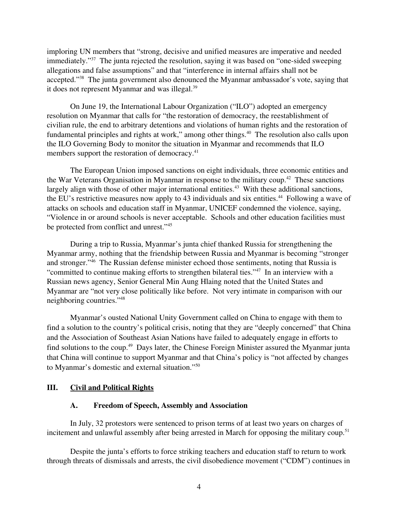imploring UN members that "strong, decisive and unified measures are imperative and needed immediately."<sup>37</sup> The junta rejected the resolution, saying it was based on "one-sided sweeping" allegations and false assumptions" and that "interference in internal affairs shall not be accepted."<sup>38</sup> The junta government also denounced the Myanmar ambassador's vote, saying that it does not represent Myanmar and was illegal.<sup>39</sup>

On June 19, the International Labour Organization ("ILO") adopted an emergency resolution on Myanmar that calls for "the restoration of democracy, the reestablishment of civilian rule, the end to arbitrary detentions and violations of human rights and the restoration of fundamental principles and rights at work," among other things.<sup>40</sup> The resolution also calls upon the ILO Governing Body to monitor the situation in Myanmar and recommends that ILO members support the restoration of democracy.<sup>41</sup>

The European Union imposed sanctions on eight individuals, three economic entities and the War Veterans Organisation in Myanmar in response to the military coup.<sup>42</sup> These sanctions largely align with those of other major international entities.<sup>43</sup> With these additional sanctions, the EU's restrictive measures now apply to 43 individuals and six entities.<sup>44</sup> Following a wave of attacks on schools and education staff in Myanmar, UNICEF condemned the violence, saying, "Violence in or around schools is never acceptable. Schools and other education facilities must be protected from conflict and unrest."<sup>45</sup>

During a trip to Russia, Myanmar's junta chief thanked Russia for strengthening the Myanmar army, nothing that the friendship between Russia and Myanmar is becoming "stronger and stronger."<sup>46</sup> The Russian defense minister echoed those sentiments, noting that Russia is "committed to continue making efforts to strengthen bilateral ties."<sup>47</sup> In an interview with a Russian news agency, Senior General Min Aung Hlaing noted that the United States and Myanmar are "not very close politically like before. Not very intimate in comparison with our neighboring countries."<sup>48</sup>

Myanmar's ousted National Unity Government called on China to engage with them to find a solution to the country's political crisis, noting that they are "deeply concerned" that China and the Association of Southeast Asian Nations have failed to adequately engage in efforts to find solutions to the coup.<sup>49</sup> Days later, the Chinese Foreign Minister assured the Myanmar junta that China will continue to support Myanmar and that China's policy is "not affected by changes to Myanmar's domestic and external situation."<sup>50</sup>

### III. Civil and Political Rights

#### <span id="page-3-1"></span><span id="page-3-0"></span>A. Freedom of Speech, Assembly and Association

In July, 32 protestors were sentenced to prison terms of at least two years on charges of incitement and unlawful assembly after being arrested in March for opposing the military coup.<sup>51</sup>

Despite the junta's efforts to force striking teachers and education staff to return to work through threats of dismissals and arrests, the civil disobedience movement ("CDM") continues in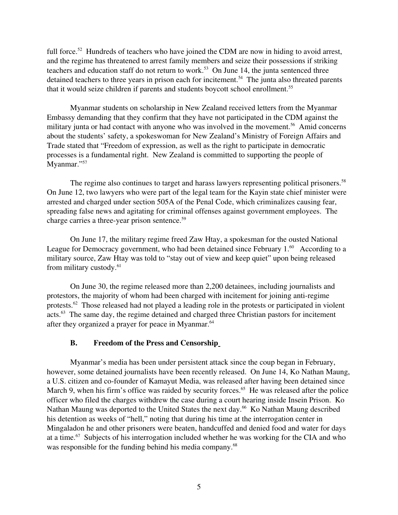full force.<sup>52</sup> Hundreds of teachers who have joined the CDM are now in hiding to avoid arrest, and the regime has threatened to arrest family members and seize their possessions if striking teachers and education staff do not return to work.<sup>53</sup> On June 14, the junta sentenced three detained teachers to three years in prison each for incitement.<sup>54</sup> The junta also threated parents that it would seize children if parents and students boycott school enrollment.<sup>55</sup>

Myanmar students on scholarship in New Zealand received letters from the Myanmar Embassy demanding that they confirm that they have not participated in the CDM against the military junta or had contact with anyone who was involved in the movement.<sup>56</sup> Amid concerns about the students' safety, a spokeswoman for New Zealand's Ministry of Foreign Affairs and Trade stated that "Freedom of expression, as well as the right to participate in democratic processes is a fundamental right. New Zealand is committed to supporting the people of Myanmar."57

The regime also continues to target and harass lawyers representing political prisoners.<sup>58</sup> On June 12, two lawyers who were part of the legal team for the Kayin state chief minister were arrested and charged under section 505A of the Penal Code, which criminalizes causing fear, spreading false news and agitating for criminal offenses against government employees. The charge carries a three-year prison sentence.<sup>59</sup>

On June 17, the military regime freed Zaw Htay, a spokesman for the ousted National League for Democracy government, who had been detained since February 1.<sup>60</sup> According to a military source, Zaw Htay was told to "stay out of view and keep quiet" upon being released from military custody.<sup>61</sup>

On June 30, the regime released more than 2,200 detainees, including journalists and protestors, the majority of whom had been charged with incitement for joining anti-regime protests.<sup>62</sup> Those released had not played a leading role in the protests or participated in violent acts.<sup>63</sup> The same day, the regime detained and charged three Christian pastors for incitement after they organized a prayer for peace in Myanmar.<sup>64</sup>

#### <span id="page-4-0"></span>B. Freedom of the Press and Censorship

Myanmar's media has been under persistent attack since the coup began in February, however, some detained journalists have been recently released. On June 14, Ko Nathan Maung, a U.S. citizen and co-founder of Kamayut Media, was released after having been detained since March 9, when his firm's office was raided by security forces.<sup>65</sup> He was released after the police officer who filed the charges withdrew the case during a court hearing inside Insein Prison. Ko Nathan Maung was deported to the United States the next day.<sup>66</sup> Ko Nathan Maung described his detention as weeks of "hell," noting that during his time at the interrogation center in Mingaladon he and other prisoners were beaten, handcuffed and denied food and water for days at a time.<sup>67</sup> Subjects of his interrogation included whether he was working for the CIA and who was responsible for the funding behind his media company.<sup>68</sup>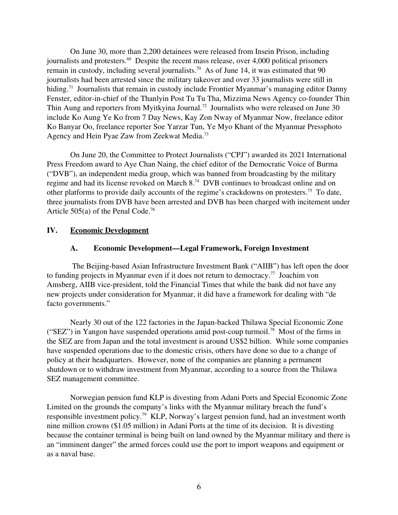On June 30, more than 2,200 detainees were released from Insein Prison, including journalists and protesters.<sup>69</sup> Despite the recent mass release, over 4,000 political prisoners remain in custody, including several journalists.<sup>70</sup> As of June 14, it was estimated that 90 journalists had been arrested since the military takeover and over 33 journalists were still in hiding.<sup>71</sup> Journalists that remain in custody include Frontier Myanmar's managing editor Danny Fenster, editor-in-chief of the Thanlyin Post Tu Tu Tha, Mizzima News Agency co-founder Thin Thin Aung and reporters from Myitkyina Journal.<sup>72</sup> Journalists who were released on June 30 include Ko Aung Ye Ko from 7 Day News, Kay Zon Nway of Myanmar Now, freelance editor Ko Banyar Oo, freelance reporter Soe Yarzar Tun, Ye Myo Khant of the Myanmar Pressphoto Agency and Hein Pyae Zaw from Zeekwat Media.<sup>73</sup>

On June 20, the Committee to Protect Journalists ("CPJ") awarded its 2021 International Press Freedom award to Aye Chan Naing, the chief editor of the Democratic Voice of Burma ("DVB"), an independent media group, which was banned from broadcasting by the military regime and had its license revoked on March 8.<sup>74</sup> DVB continues to broadcast online and on other platforms to provide daily accounts of the regime's crackdowns on protesters.<sup>75</sup> To date, three journalists from DVB have been arrested and DVB has been charged with incitement under Article 505(a) of the Penal Code.<sup>76</sup>

### IV. Economic Development

#### <span id="page-5-1"></span><span id="page-5-0"></span>A. Economic Development—Legal Framework, Foreign Investment

The Beijing-based Asian Infrastructure Investment Bank ("AIIB") has left open the door to funding projects in Myanmar even if it does not return to democracy.<sup>77</sup> Joachim von Amsberg, AIIB vice-president, told the Financial Times that while the bank did not have any new projects under consideration for Myanmar, it did have a framework for dealing with "de facto governments."

Nearly 30 out of the 122 factories in the Japan-backed Thilawa Special Economic Zone ("SEZ") in Yangon have suspended operations amid post-coup turmoil.<sup>78</sup> Most of the firms in the SEZ are from Japan and the total investment is around US\$2 billion. While some companies have suspended operations due to the domestic crisis, others have done so due to a change of policy at their headquarters. However, none of the companies are planning a permanent shutdown or to withdraw investment from Myanmar, according to a source from the Thilawa SEZ management committee.

Norwegian pension fund KLP is divesting from Adani Ports and Special Economic Zone Limited on the grounds the company's links with the Myanmar military breach the fund's responsible investment policy.<sup>79</sup> KLP, Norway's largest pension fund, had an investment worth nine million crowns (\$1.05 million) in Adani Ports at the time of its decision. It is divesting because the container terminal is being built on land owned by the Myanmar military and there is an "imminent danger" the armed forces could use the port to import weapons and equipment or as a naval base.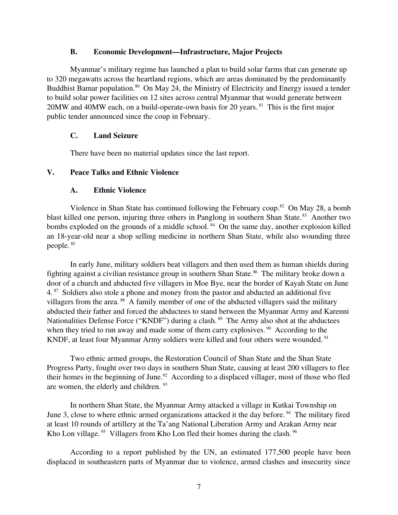#### <span id="page-6-3"></span>B. Economic Development—Infrastructure, Major Projects

Myanmar's military regime has launched a plan to build solar farms that can generate up to 320 megawatts across the heartland regions, which are areas dominated by the predominantly Buddhist Bamar population.<sup>80</sup> On May 24, the Ministry of Electricity and Energy issued a tender to build solar power facilities on 12 sites across central Myanmar that would generate between  $20MW$  and  $40MW$  each, on a build-operate-own basis for 20 years. <sup>81</sup> This is the first major public tender announced since the coup in February.

# <span id="page-6-2"></span>C. Land Seizure

<span id="page-6-1"></span>There have been no material updates since the last report.

# V. Peace Talks and Ethnic Violence

# <span id="page-6-0"></span>A. Ethnic Violence

Violence in Shan State has continued following the February coup.<sup>82</sup> On May 28, a bomb blast killed one person, injuring three others in Panglong in southern Shan State.<sup>83</sup> Another two bombs exploded on the grounds of a middle school.  $84$  On the same day, another explosion killed an 18-year-old near a shop selling medicine in northern Shan State, while also wounding three people. <sup>85</sup>

In early June, military soldiers beat villagers and then used them as human shields during fighting against a civilian resistance group in southern Shan State.<sup>86</sup> The military broke down a door of a church and abducted five villagers in Moe Bye, near the border of Kayah State on June 4.<sup>87</sup> Soldiers also stole a phone and money from the pastor and abducted an additional five villagers from the area.<sup>88</sup> A family member of one of the abducted villagers said the military abducted their father and forced the abductees to stand between the Myanmar Army and Karenni Nationalities Defense Force ("KNDF") during a clash. <sup>89</sup> The Army also shot at the abductees when they tried to run away and made some of them carry explosives.<sup>90</sup> According to the KNDF, at least four Myanmar Army soldiers were killed and four others were wounded. <sup>91</sup>

Two ethnic armed groups, the Restoration Council of Shan State and the Shan State Progress Party, fought over two days in southern Shan State, causing at least 200 villagers to flee their homes in the beginning of June.<sup>92</sup> According to a displaced villager, most of those who fled are women, the elderly and children. <sup>93</sup>

In northern Shan State, the Myanmar Army attacked a village in Kutkai Township on June 3, close to where ethnic armed organizations attacked it the day before.<sup>94</sup> The military fired at least 10 rounds of artillery at the Ta'ang National Liberation Army and Arakan Army near Kho Lon village. <sup>95</sup> Villagers from Kho Lon fled their homes during the clash. <sup>96</sup>

According to a report published by the UN, an estimated 177,500 people have been displaced in southeastern parts of Myanmar due to violence, armed clashes and insecurity since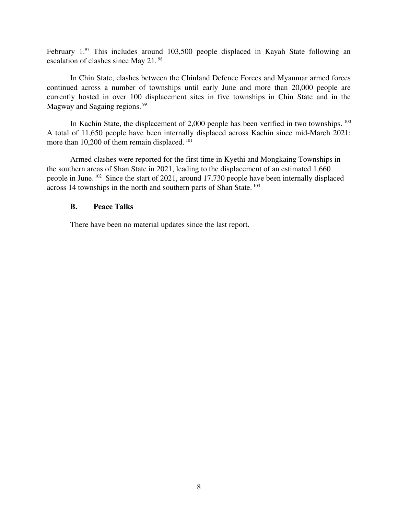February  $1.^{97}$  This includes around  $103,500$  people displaced in Kayah State following an escalation of clashes since May 21. <sup>98</sup>

In Chin State, clashes between the Chinland Defence Forces and Myanmar armed forces continued across a number of townships until early June and more than 20,000 people are currently hosted in over 100 displacement sites in five townships in Chin State and in the Magway and Sagaing regions.<sup>99</sup>

In Kachin State, the displacement of  $2,000$  people has been verified in two townships.  $^{100}$ A total of 11,650 people have been internally displaced across Kachin since mid-March 2021; more than 10,200 of them remain displaced.<sup>101</sup>

Armed clashes were reported for the first time in Kyethi and Mongkaing Townships in the southern areas of Shan State in 2021, leading to the displacement of an estimated 1,660 people in June. <sup>102</sup> Since the start of 2021, around 17,730 people have been internally displaced across 14 townships in the north and southern parts of Shan State. <sup>103</sup>

#### <span id="page-7-0"></span>B. Peace Talks

There have been no material updates since the last report.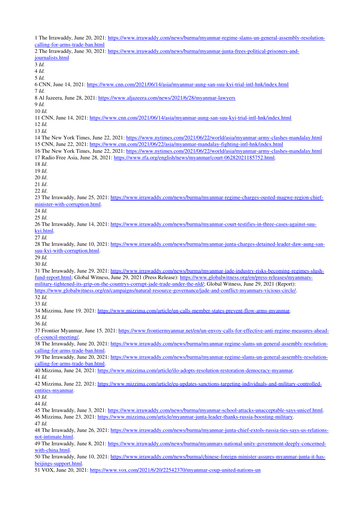1 The Irrawaddy, June 20, 2021: https://www.irrawaddy.com/news/burma/myanmar-regime-slams-un-general-assembly-resolutioncalling-for-arms-trade-ban.html 2 The Irrawaddy, June 30, 2021: https://www.irrawaddy.com/news/burma/myanmar-junta-frees-political-prisoners-and[journalists.html](https://www.irrawaddy.com/news/burma/myanmar-junta-frees-political-prisoners-and-journalists.html) 3 *Id.* 4 *Id.* 5 *Id.* 6 CNN, June 14, 2021: https://www.cnn.com/2021/06/14/asia/myanmar-aung-san-suu-kyi-trial-intl-hnk/index.html 7 *Id.*  8 Al Jazeera, June 28, 2021: [https://www.aljazeera.com/news/2021/6/28/myanmarlawyers](https://www.aljazeera.com/news/2021/6/28/myanmar-lawyers) 9 *Id.* 10 *Id.* 11 CNN, June 14, 2021: https://www.cnn.com/2021/06/14/asia/myanmar-aung-san-suu-kyi-trial-intl-hnk/index.html 12 *Id.* 13 *Id.* 14 The New York Times, June 22, 2021: [https://www.nytimes.com/2021/06/22/world/asia/myanmararmyclashesmandalay.html](https://www.nytimes.com/2021/06/22/world/asia/myanmar-army-clashes-mandalay.html) 15 CNN, June 22, 2021: https://www.cnn.com/2021/06/22/asia/myanmar-mandalay-fighting-intl-hnk/index.html 16 The New York Times, June 22, 2021: https://www.nytimes.com/2021/06/22/world/asia/myanmar-army-clashes-mandalay.html 17 Radio Free Asia, June 28, 2021: https://www.rfa.org/english/news/myanmar/court-06282021185752.html. 18 *Id*. 19 *Id*. 20 *Id*. 21 *Id*. 22 *Id*. 23 The Irrawaddy, June 25, 2021: https://www.irrawaddy.com/news/burma/myanmar-regime-charges-ousted-magwe-region-chiefminister-with-corruption.html. 24 *Id.* 25 *Id.* 26 The Irrawaddy, June 14, 2021: https://www.irrawaddy.com/news/burma/myanmar-court-testifies-in-three-cases-against-suu[kyi.html.](https://www.irrawaddy.com/news/burma/myanmar-court-testifies-in-three-cases-against-suu-kyi.html) 27 *Id.* 28 The Irrawaddy, June 10, 2021: https://www.irrawaddy.com/news/burma/myanmar-junta-charges-detained-leader-daw-aung-sansuu-kyi-with-corruption.html. 29 *Id.* 30 *Id.* 31 The Irrawaddy, June 29, 2021: https://www.irrawaddy.com/news/burma/myanmar-jade-industry-risks-becoming-regimes-slushfund-report.html; Global Witness, June 29, 2021 (Press Release): https://www.globalwitness.org/en/press-releases/myanmarsmilitary-tightened-its-grip-on-the-countrys-corrupt-jade-trade-under-the-nld/; Global Witness, June 29, 2021 (Report): https://www.globalwitness.org/en/campaigns/natural-resource-governance/jade-and-conflict-myanmars-vicious-circle/. 32 *Id.* 33 *Id.* 34 Mizzima, June 19, 2021: https://www.mizzima.com/article/un-calls-member-states-prevent-flow-arms-myanmar. 35 *Id.* 36 *Id.* 37 Frontier Myanmar, June 15, 2021: https://www.frontiermyanmar.net/en/un-envoy-calls-for-effective-anti-regime-measures-aheadof-council-meeting/. 38 The Irrawaddy, June 20, 2021: https://www.irrawaddy.com/news/burma/myanmar-regime-slams-un-general-assembly-resolutioncalling-for-arms-trade-ban.html. 39 The Irrawaddy, June 20, 2021: https://www.irrawaddy.com/news/burma/myanmar-regime-slams-un-general-assembly-resolutioncalling-for-arms-trade-ban.html. 40 Mizzima, June 24, 2021: https://www.mizzima.com/article/ilo-adopts-resolution-restoration-democracy-myanmar. 41 *Id.* 42 Mizzima, June 22, 2021: https://www.mizzima.com/article/eu-updates-sanctions-targeting-individuals-and-military-controlledentities-myanmar. 43 *Id.* 44 *Id.* 45 The Irrawaddy, June 3, 2021: https://www.irrawaddy.com/news/burma/myanmar-school-attacks-unacceptable-says-unicef.html. 46 Mizzima, June 23, 2021: https://www.mizzima.com/article/myanmar-junta-leader-thanks-russia-boosting-military. 47 *Id.* 48 The Irrawaddy, June 26, 2021: https://www.irrawaddy.com/news/burma/myanmar-junta-chief-extols-russia-ties-says-us-relationsnot-intimate.html. 49 The Irrawaddy, June 8, 2021: https://www.irrawaddy.com/news/burma/myanmars-national-unity-government-deeply-concernedwith-china.html. 50 The Irrawaddy, June 10, 2021: https://www.irrawaddy.com/news/burma/chinese-foreign-minister-assures-myanmar-junta-it-hasbeijings-support.html. 51 VOX, June 20, 2021: https://www.vox.com/2021/6/20/22542370/myanmar-coup-united-nations-un